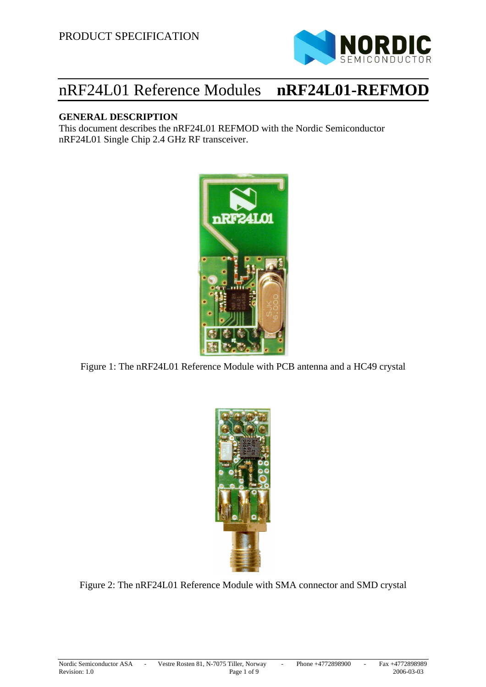

# nRF24L01 Reference Modules **nRF24L01-REFMOD**

#### **GENERAL DESCRIPTION**

This document describes the nRF24L01 REFMOD with the Nordic Semiconductor nRF24L01 Single Chip 2.4 GHz RF transceiver.



Figure 1: The nRF24L01 Reference Module with PCB antenna and a HC49 crystal



Figure 2: The nRF24L01 Reference Module with SMA connector and SMD crystal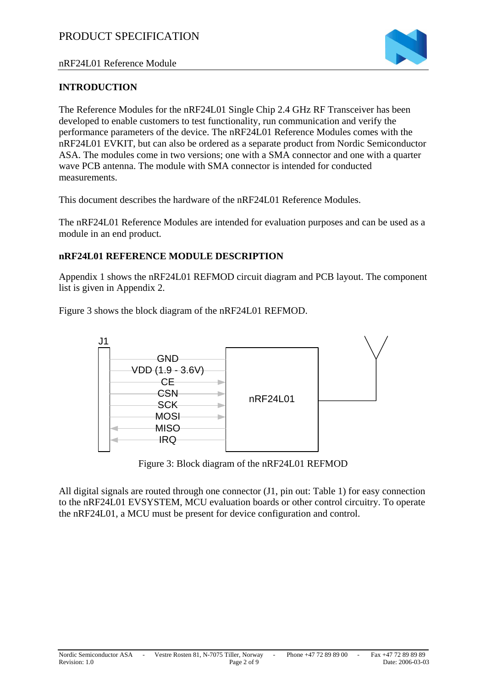

nRF24L01 Reference Module

### **INTRODUCTION**

The Reference Modules for the nRF24L01 Single Chip 2.4 GHz RF Transceiver has been developed to enable customers to test functionality, run communication and verify the performance parameters of the device. The nRF24L01 Reference Modules comes with the nRF24L01 EVKIT, but can also be ordered as a separate product from Nordic Semiconductor ASA. The modules come in two versions; one with a SMA connector and one with a quarter wave PCB antenna. The module with SMA connector is intended for conducted measurements.

This document describes the hardware of the nRF24L01 Reference Modules.

The nRF24L01 Reference Modules are intended for evaluation purposes and can be used as a module in an end product.

### **nRF24L01 REFERENCE MODULE DESCRIPTION**

Appendix 1 shows the nRF24L01 REFMOD circuit diagram and PCB layout. The component list is given in Appendix 2.

Figure 3 shows the block diagram of the nRF24L01 REFMOD.



Figure 3: Block diagram of the nRF24L01 REFMOD

All digital signals are routed through one connector (J1, pin out: Table 1) for easy connection to the nRF24L01 EVSYSTEM, MCU evaluation boards or other control circuitry. To operate the nRF24L01, a MCU must be present for device configuration and control.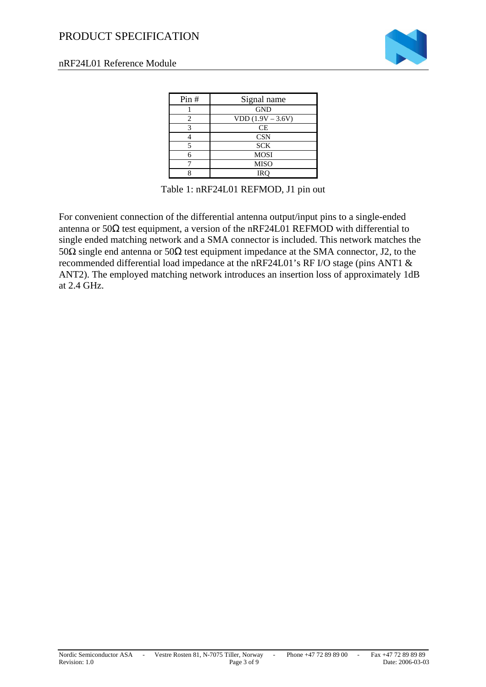# PRODUCT SPECIFICATION



#### nRF24L01 Reference Module

| Pin# | Signal name         |  |  |
|------|---------------------|--|--|
|      | <b>GND</b>          |  |  |
|      | $VDD (1.9V - 3.6V)$ |  |  |
|      | CE                  |  |  |
|      | <b>CSN</b>          |  |  |
|      | <b>SCK</b>          |  |  |
|      | <b>MOSI</b>         |  |  |
|      | <b>MISO</b>         |  |  |
|      | IRC                 |  |  |

Table 1: nRF24L01 REFMOD, J1 pin out

For convenient connection of the differential antenna output/input pins to a single-ended antenna or  $50\Omega$  test equipment, a version of the nRF24L01 REFMOD with differential to single ended matching network and a SMA connector is included. This network matches the 50Ω single end antenna or 50Ω test equipment impedance at the SMA connector, J2, to the recommended differential load impedance at the nRF24L01's RF I/O stage (pins ANT1 & ANT2). The employed matching network introduces an insertion loss of approximately 1dB at 2.4 GHz.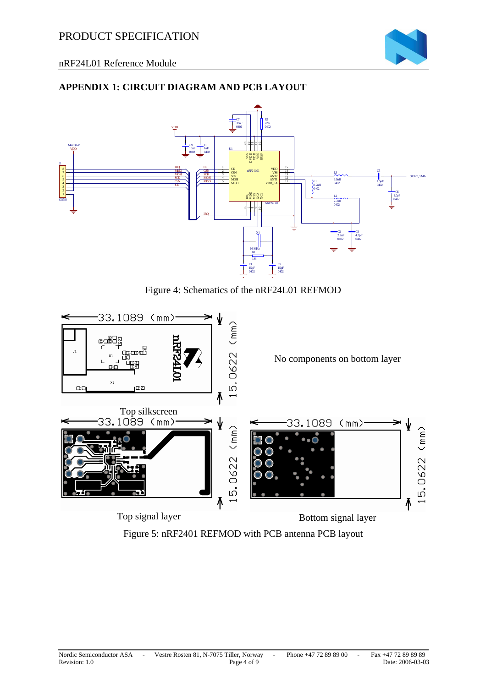

## **APPENDIX 1: CIRCUIT DIAGRAM AND PCB LAYOUT**



Figure 4: Schematics of the nRF24L01 REFMOD



Figure 5: nRF2401 REFMOD with PCB antenna PCB layout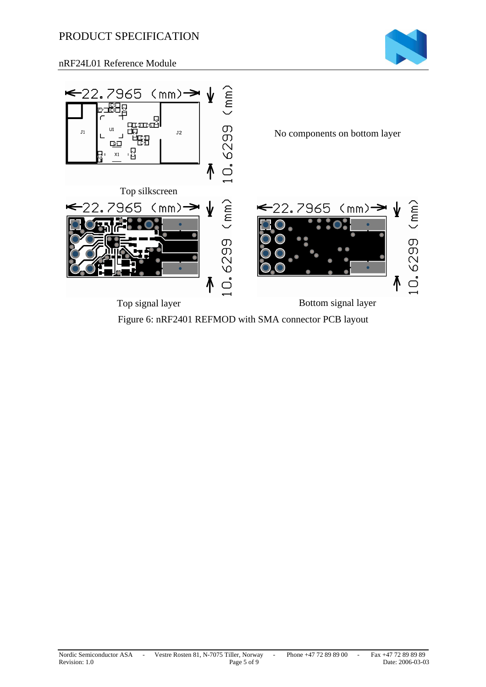# PRODUCT SPECIFICATION



nRF24L01 Reference Module



Figure 6: nRF2401 REFMOD with SMA connector PCB layout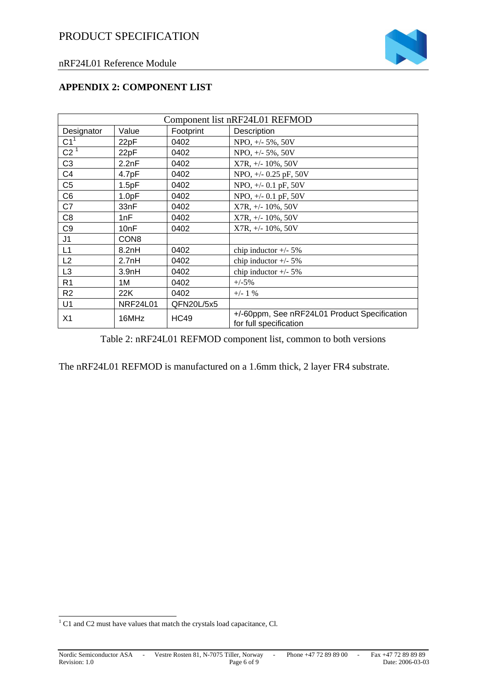

#### **APPENDIX 2: COMPONENT LIST**

| Component list nRF24L01 REFMOD |                    |             |                                                                        |  |
|--------------------------------|--------------------|-------------|------------------------------------------------------------------------|--|
| Designator                     | Value              | Footprint   | Description                                                            |  |
| C1 <sup>1</sup>                | 22pF               | 0402        | NPO, $+/$ - 5%, 50V                                                    |  |
| C2 <sup>1</sup>                | 22pF               | 0402        | NPO, $+/- 5\%$ , 50V                                                   |  |
| C <sub>3</sub>                 | 2.2nF              | 0402        | $X7R, +/- 10\%, 50V$                                                   |  |
| C <sub>4</sub>                 | 4.7pF              | 0402        | NPO, +/- 0.25 pF, 50V                                                  |  |
| C <sub>5</sub>                 | 1.5pF              | 0402        | NPO, $+/-$ 0.1 pF, 50V                                                 |  |
| C <sub>6</sub>                 | 1.0pF              | 0402        | NPO, $+/$ 0.1 pF, 50V                                                  |  |
| C7                             | 33nF               | 0402        | $X7R, +/- 10\%, 50V$                                                   |  |
| C <sub>8</sub>                 | 1nF                | 0402        | $X7R, +/- 10\%, 50V$                                                   |  |
| C <sub>9</sub>                 | 10nF               | 0402        | $X7R, +/- 10\%, 50V$                                                   |  |
| J1                             | CON <sub>8</sub>   |             |                                                                        |  |
| L1                             | 8.2nH              | 0402        | chip inductor $+/- 5\%$                                                |  |
| L2                             | 2.7nH              | 0402        | chip inductor $+/- 5\%$                                                |  |
| L <sub>3</sub>                 | 3.9 <sub>n</sub> H | 0402        | chip inductor $+/- 5\%$                                                |  |
| R <sub>1</sub>                 | 1M                 | 0402        | $+/-5%$                                                                |  |
| R <sub>2</sub>                 | 22K                | 0402        | $+/- 1$ %                                                              |  |
| U1                             | <b>NRF24L01</b>    | QFN20L/5x5  |                                                                        |  |
| X1                             | 16MHz              | <b>HC49</b> | +/-60ppm, See nRF24L01 Product Specification<br>for full specification |  |

Table 2: nRF24L01 REFMOD component list, common to both versions

The nRF24L01 REFMOD is manufactured on a 1.6mm thick, 2 layer FR4 substrate.

<sup>&</sup>lt;sup>1</sup> C1 and C2 must have values that match the crystals load capacitance, Cl.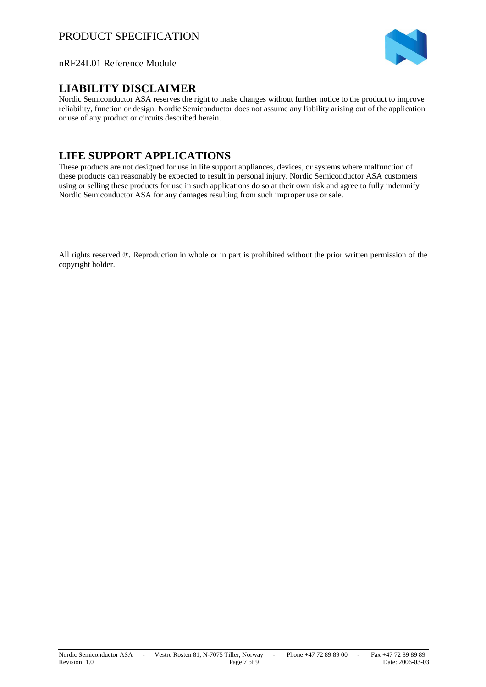

#### nRF24L01 Reference Module

#### **LIABILITY DISCLAIMER**

Nordic Semiconductor ASA reserves the right to make changes without further notice to the product to improve reliability, function or design. Nordic Semiconductor does not assume any liability arising out of the application or use of any product or circuits described herein.

# **LIFE SUPPORT APPLICATIONS**

These products are not designed for use in life support appliances, devices, or systems where malfunction of these products can reasonably be expected to result in personal injury. Nordic Semiconductor ASA customers using or selling these products for use in such applications do so at their own risk and agree to fully indemnify Nordic Semiconductor ASA for any damages resulting from such improper use or sale.

All rights reserved ®. Reproduction in whole or in part is prohibited without the prior written permission of the copyright holder.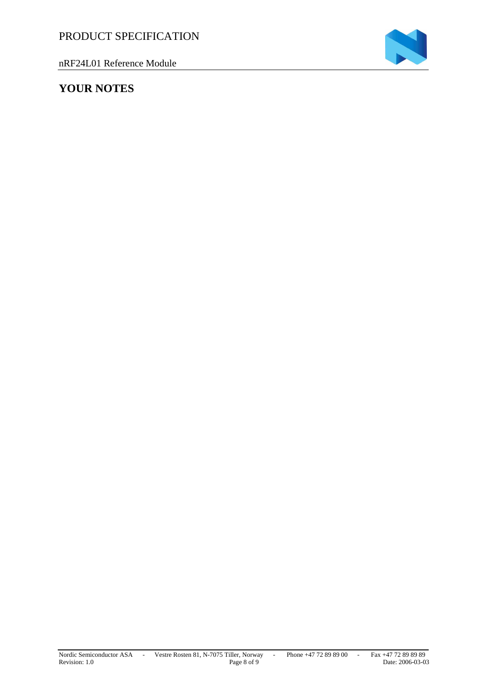nRF24L01 Reference Module



# **YOUR NOTES**